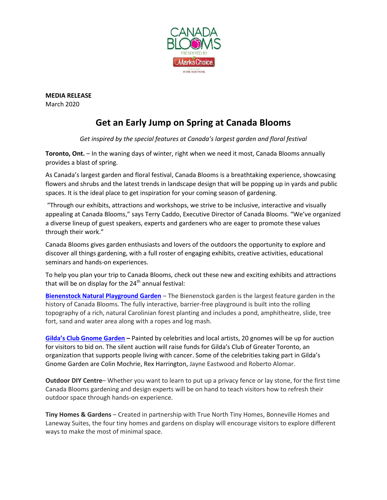

**MEDIA RELEASE** March 2020

## **Get an Early Jump on Spring at Canada Blooms**

*Get inspired by the special features at Canada's largest garden and floral festival*

**Toronto, Ont.** – In the waning days of winter, right when we need it most, Canada Blooms annually provides a blast of spring.

As Canada's largest garden and floral festival, Canada Blooms is a breathtaking experience, showcasing flowers and shrubs and the latest trends in landscape design that will be popping up in yards and public spaces. It is the ideal place to get inspiration for your coming season of gardening.

"Through our exhibits, attractions and workshops, we strive to be inclusive, interactive and visually appealing at Canada Blooms," says Terry Caddo, Executive Director of Canada Blooms. "We've organized a diverse lineup of guest speakers, experts and gardeners who are eager to promote these values through their work."

Canada Blooms gives garden enthusiasts and lovers of the outdoors the opportunity to explore and discover all things gardening, with a full roster of engaging exhibits, creative activities, educational seminars and hands-on experiences.

To help you plan your trip to Canada Blooms, check out these new and exciting exhibits and attractions that will be on display for the  $24<sup>th</sup>$  annual festival:

**[Bienenstock Natural Playground Garden](https://canadablooms.com/gardens/bienenstock-natural-playgrounds/)** – The Bienenstock garden is the largest feature garden in the history of Canada Blooms. The fully interactive, barrier-free playground is built into the rolling topography of a rich, natural Carolinian forest planting and includes a pond, amphitheatre, slide, tree fort, sand and water area along with a ropes and log mash.

**Gilda's [Club Gnome Garden](https://canadablooms.com/gildas-club-gnome-garden-at-canada-blooms/) –** Painted by celebrities and local artists, 20 gnomes will be up for auction for visitors to bid on. The silent auction will raise funds for Gilda's Club of Greater Toronto, an organization that supports people living with cancer. Some of the celebrities taking part in Gilda's Gnome Garden are Colin Mochrie, Rex Harrington, Jayne Eastwood and Roberto Alomar.

**Outdoor DIY Centre**– Whether you want to learn to put up a privacy fence or lay stone, for the first time Canada Blooms gardening and design experts will be on hand to teach visitors how to refresh their outdoor space through hands-on experience.

**Tiny Homes & Gardens** – Created in partnership with True North Tiny Homes, Bonneville Homes and Laneway Suites, the four tiny homes and gardens on display will encourage visitors to explore different ways to make the most of minimal space.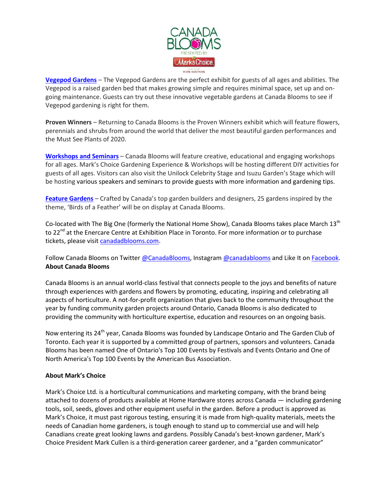

**[Vegepod Gardens](https://canadablooms.com/vegepod-makes-growing-simple/)** – The Vegepod Gardens are the perfect exhibit for guests of all ages and abilities. The Vegepod is a raised garden bed that makes growing simple and requires minimal space, set up and ongoing maintenance. Guests can try out these innovative vegetable gardens at Canada Blooms to see if Vegepod gardening is right for them.

**Proven Winners** – Returning to Canada Blooms is the Proven Winners exhibit which will feature flowers, perennials and shrubs from around the world that deliver the most beautiful garden performances and the Must See Plants of 2020.

**[Workshops and Seminars](https://canadablooms.com/event-type/workshops/)** – Canada Blooms will feature creative, educational and engaging workshops for all ages. Mark's Choice Gardening Experience & Workshops will be hosting different DIY activities for guests of all ages. Visitors can also visit the Unilock Celebrity Stage and Isuzu Garden's Stage which will be hosting various speakers and seminars to provide guests with more information and gardening tips.

**[Feature Gardens](https://canadablooms.com/gardens/bienenstock-natural-playgrounds/)** – Crafted by Canada's top garden builders and designers, 25 gardens inspired by the theme, 'Birds of a Feather' will be on display at Canada Blooms.

Co-located with The Big One (formerly the National Home Show), Canada Blooms takes place March 13<sup>th</sup> to 22<sup>nd</sup> at the Enercare Centre at Exhibition Place in Toronto. For more information or to purchase tickets, please visit [canadadblooms.com.](http://www.canadablooms.com/)

Follow Canada Blooms on Twitter [@CanadaBlooms,](http://www.twitter.com/canadablooms) Instagram [@canadablooms](https://www.instagram.com/canadablooms/) and Like It on [Facebook.](http://www.facebook.com/canadablooms) **About Canada Blooms**

Canada Blooms is an annual world-class festival that connects people to the joys and benefits of nature through experiences with gardens and flowers by promoting, educating, inspiring and celebrating all aspects of horticulture. A not-for-profit organization that gives back to the community throughout the year by funding community garden projects around Ontario, Canada Blooms is also dedicated to providing the community with horticulture expertise, education and resources on an ongoing basis.

Now entering its 24<sup>th</sup> year, Canada Blooms was founded by Landscape Ontario and The Garden Club of Toronto. Each year it is supported by a committed group of partners, sponsors and volunteers. Canada Blooms has been named One of Ontario's Top 100 Events by Festivals and Events Ontario and One of North America's Top 100 Events by the American Bus Association.

## **About Mark's Choice**

Mark's Choice Ltd. is a horticultural communications and marketing company, with the brand being attached to dozens of products available at Home Hardware stores across Canada — including gardening tools, soil, seeds, gloves and other equipment useful in the garden. Before a product is approved as Mark's Choice, it must past rigorous testing, ensuring it is made from high-quality materials, meets the needs of Canadian home gardeners, is tough enough to stand up to commercial use and will help Canadians create great looking lawns and gardens. Possibly Canada's best-known gardener, Mark's Choice President Mark Cullen is a third-generation career gardener, and a "garden communicator"